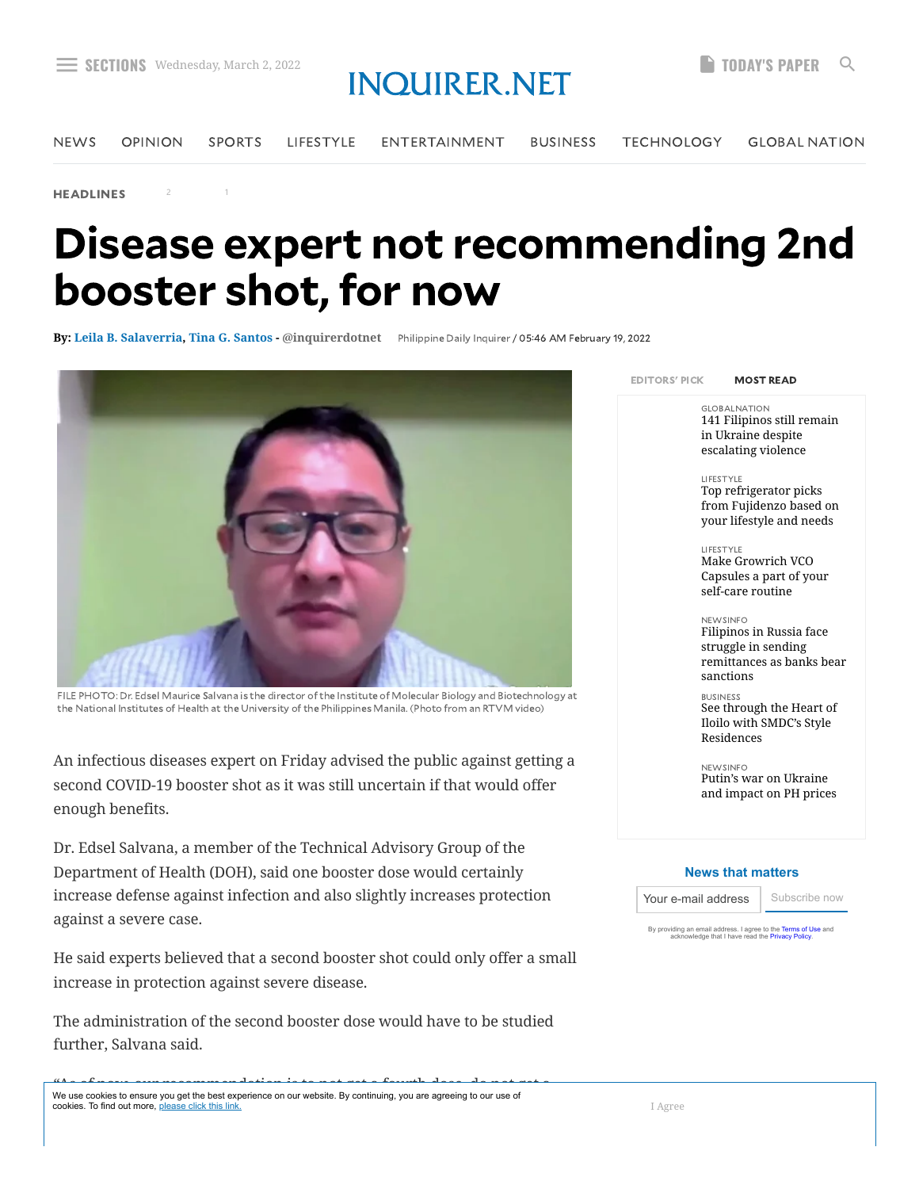2 1

## [menu](https://newsinfo.inquirer.net/1556777/disease-expert-not-recommending-2nd-booster-shot-for-now)s wednesday, March 2, 2022 interpretational conduction of the Sections wednesday, March 2, 2022 interpretational conductions of the Section of the Section of the Section of the Section of the Section of the Section of

[NEWS](https://newsinfo.inquirer.net/) [OPINION](https://opinion.inquirer.net/) [SPORTS](https://sports.inquirer.net/) [LIFESTYLE](https://lifestyle.inquirer.net/) [ENTERTAINMENT](https://entertainment.inquirer.net/) [BUSINESS](https://business.inquirer.net/) [TECHNOLOGY](https://technology.inquirer.net/) GLOBAL [NATION](https://globalnation.inquirer.net/)

[HEADLINES](https://newsinfo.inquirer.net/category/inquirer-headlines)

## Disease expert not recommending 2nd booster shot, for now

**By: [Leila B. Salaverria,](https://newsinfo.inquirer.net/byline/leila-b-salaverria) [Tina G. Santos](https://newsinfo.inquirer.net/byline/tina-g-santos) - [@inquirerdotnet](https://www.twitter.com/@inquirerdotnet)** [Philippine](https://newsinfo.inquirer.net/source/philippine-daily-inquirer) Daily Inquirer / 05:46 AM February 19, 2022



FILE PHOTO: Dr. Edsel Maurice Salvana is the director of the Institute of Molecular Biology and Biotechnology at the National Institutes of Health at the University of the Philippines Manila. (Photo from an RTVM video)

An infectious diseases expert on Friday advised the public against getting a second COVID-19 booster shot as it was still uncertain if that would offer enough benefits.

Dr. Edsel Salvana, a member of the Technical Advisory Group of the Department of Health (DOH), said one booster dose would certainly increase defense against infection and also slightly increases protection against a severe case.

He said experts believed that a second booster shot could only offer a small increase in protection against severe disease.

The administration of the second booster dose would have to be studied further, Salvana said.

EDITORS' PICK MOST READ

GLOBALNATION [141 Filipinos still remain](https://globalnation.inquirer.net/202748/141-filipinos-still-remain-in-ukraine-despite-escalating-violence) in Ukraine despite escalating violence

#### LIFESTYLE

Top refrigerator picks [from Fujidenzo based on](https://lifestyle.inquirer.net/397752/top-refrigerator-picks-from-fujidenzo-based-on-your-lifestyle-and-needs) your lifestyle and needs

LIFESTYLE Make Growrich VCO [Capsules a part of your](https://lifestyle.inquirer.net/397697/make-growrich-vco-capsules-a-part-of-your-self-care-routine) self-care routine

NEWSINFO Filipinos in Russia face struggle in sending [remittances as banks bear](https://newsinfo.inquirer.net/1562042/filipinos-in-russia-face-struggle-in-sending-remittances-as-banks-bear-sanctions) sanctions

#### BUSINESS

[See through the Heart of](https://business.inquirer.net/342071/see-through-the-heart-of-iloilo-with-smdcs-style-residences) Iloilo with SMDC's Style Residences

NEWSINFO Putin's war on Ukraine [and impact on PH prices](https://newsinfo.inquirer.net/1562204/putins-war-on-ukraine-and-impact-on-ph-prices)

#### **News that matters**

Your e-mail address | Subscribe now

By providing an email address. I agree to the **[Terms of Use](https://services.inquirer.net/user-agreement/)** and<br>acknowledge that I have read the [Privacy Policy.](https://services.inquirer.net/privacy-policy/)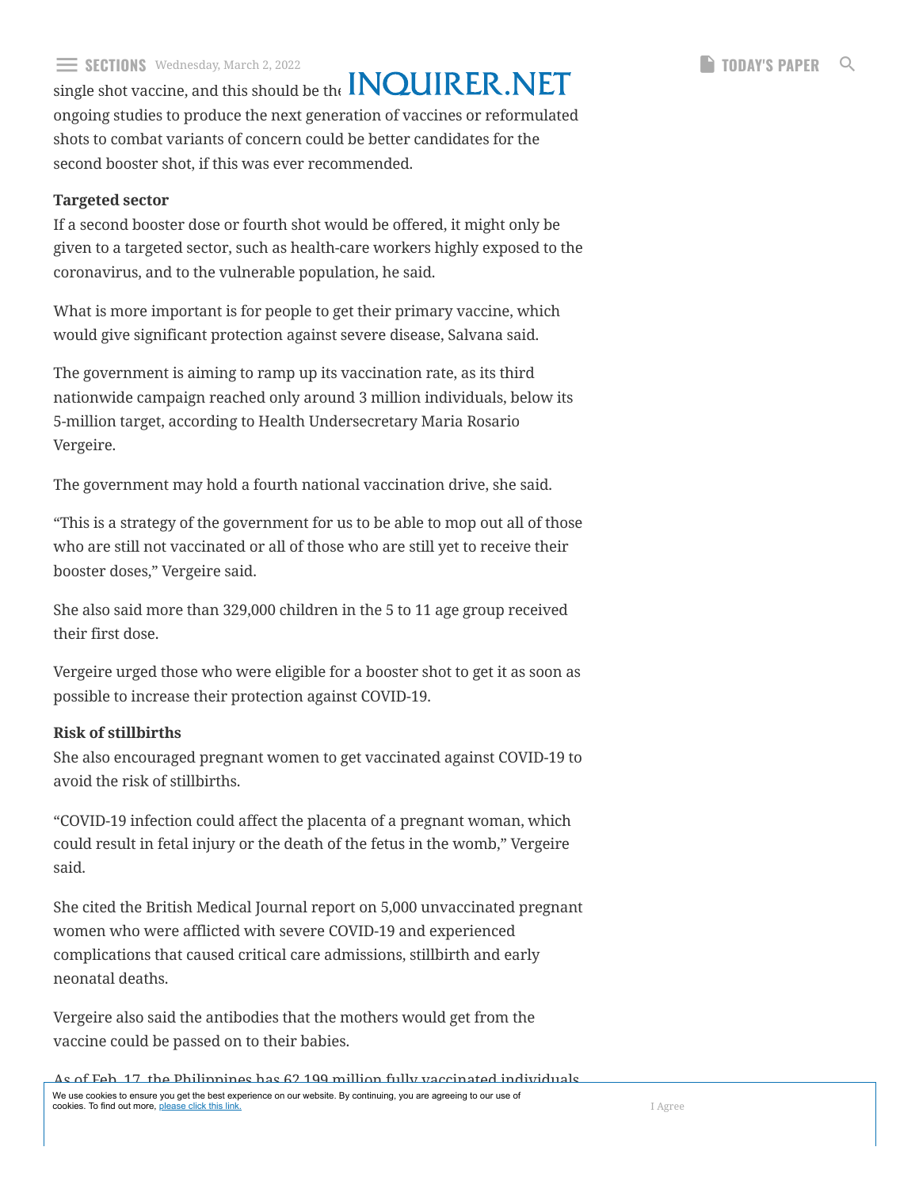#### $\equiv$  SECHIONS Wednesday, March 2, 2022 single shot vaccine, and this should be the **HAMMANN SALVAN SALVAN SALVAN [menu](https://newsinfo.inquirer.net/1556777/disease-expert-not-recommending-2nd-booster-shot-for-now)s Wednesday, March 2, 2022 in LOLUDED NIFT. SECTIONS PAPER** Q

ongoing studies to produce the next generation of vaccines or reformulated shots to combat variants of concern could be better candidates for the second booster shot, if this was ever recommended.

### **Targeted sector**

If a second booster dose or fourth shot would be offered, it might only be given to a targeted sector, such as health-care workers highly exposed to the coronavirus, and to the vulnerable population, he said.

What is more important is for people to get their primary vaccine, which would give significant protection against severe disease, Salvana said.

The government is aiming to ramp up its vaccination rate, as its third nationwide campaign reached only around 3 million individuals, below its 5-million target, according to Health Undersecretary Maria Rosario Vergeire.

The government may hold a fourth national vaccination drive, she said.

"This is a strategy of the government for us to be able to mop out all of those who are still not vaccinated or all of those who are still yet to receive their booster doses," Vergeire said.

She also said more than 329,000 children in the 5 to 11 age group received their first dose.

Vergeire urged those who were eligible for a booster shot to get it as soon as possible to increase their protection against COVID-19.

### **Risk of stillbirths**

She also encouraged pregnant women to get vaccinated against COVID-19 to avoid the risk of stillbirths.

"COVID-19 infection could affect the placenta of a pregnant woman, which could result in fetal injury or the death of the fetus in the womb," Vergeire said.

She cited the British Medical Journal report on 5,000 unvaccinated pregnant women who were afflicted with severe COVID-19 and experienced complications that caused critical care admissions, stillbirth and early neonatal deaths.

Vergeire also said the antibodies that the mothers would get from the vaccine could be passed on to their babies.

As of Feb. 17, the Philippines has 62.199 million fully vaccinated individuals, of the million of the matter of the million of the million of the million of the million of the million of the<br>cookies. To find out more, <u>please click this link.</u> We use cookies to ensure you get the best experience on our website. By continuing, you are agreeing to our use of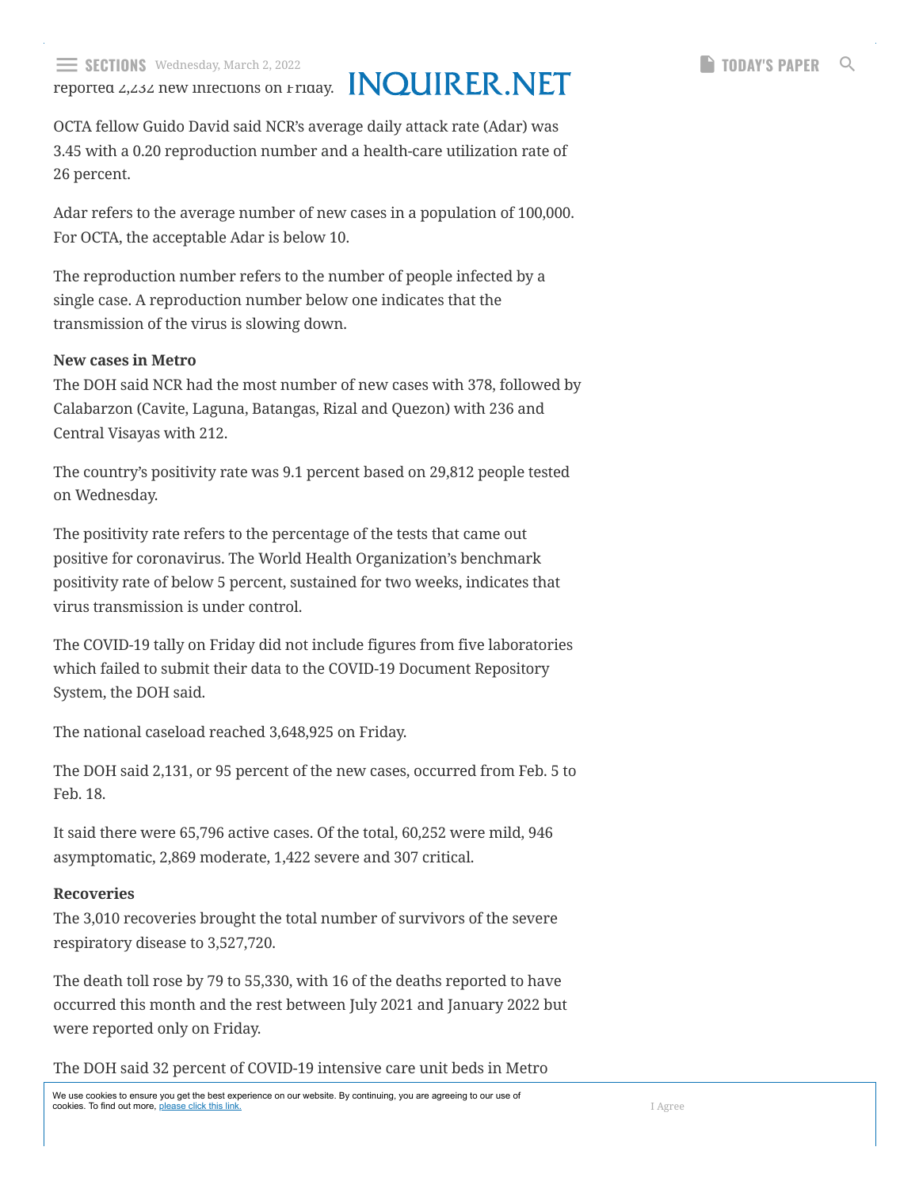reported 2,232 new infections on Friday.

OCTA fellow Guido David said NCR's average daily attack rate (Adar) was 3.45 with a 0.20 reproduction number and a health-care utilization rate of 26 percent.

Adar refers to the average number of new cases in a population of 100,000. For OCTA, the acceptable Adar is below 10.

The reproduction number refers to the number of people infected by a single case. A reproduction number below one indicates that the transmission of the virus is slowing down.

### **New cases in Metro**

The DOH said NCR had the most number of new cases with 378, followed by Calabarzon (Cavite, Laguna, Batangas, Rizal and Quezon) with 236 and Central Visayas with 212.

The country's positivity rate was 9.1 percent based on 29,812 people tested on Wednesday.

The positivity rate refers to the percentage of the tests that came out positive for coronavirus. The World Health Organization's benchmark positivity rate of below 5 percent, sustained for two weeks, indicates that virus transmission is under control.

The COVID-19 tally on Friday did not include figures from five laboratories which failed to submit their data to the COVID-19 Document Repository System, the DOH said.

The national caseload reached 3,648,925 on Friday.

The DOH said 2,131, or 95 percent of the new cases, occurred from Feb. 5 to Feb. 18.

It said there were 65,796 active cases. Of the total, 60,252 were mild, 946 asymptomatic, 2,869 moderate, 1,422 severe and 307 critical.

### **Recoveries**

The 3,010 recoveries brought the total number of survivors of the severe respiratory disease to 3,527,720.

The death toll rose by 79 to 55,330, with 16 of the deaths reported to have occurred this month and the rest between July 2021 and January 2022 but were reported only on Friday.

The DOH said 32 percent of COVID-19 intensive care unit beds in Metro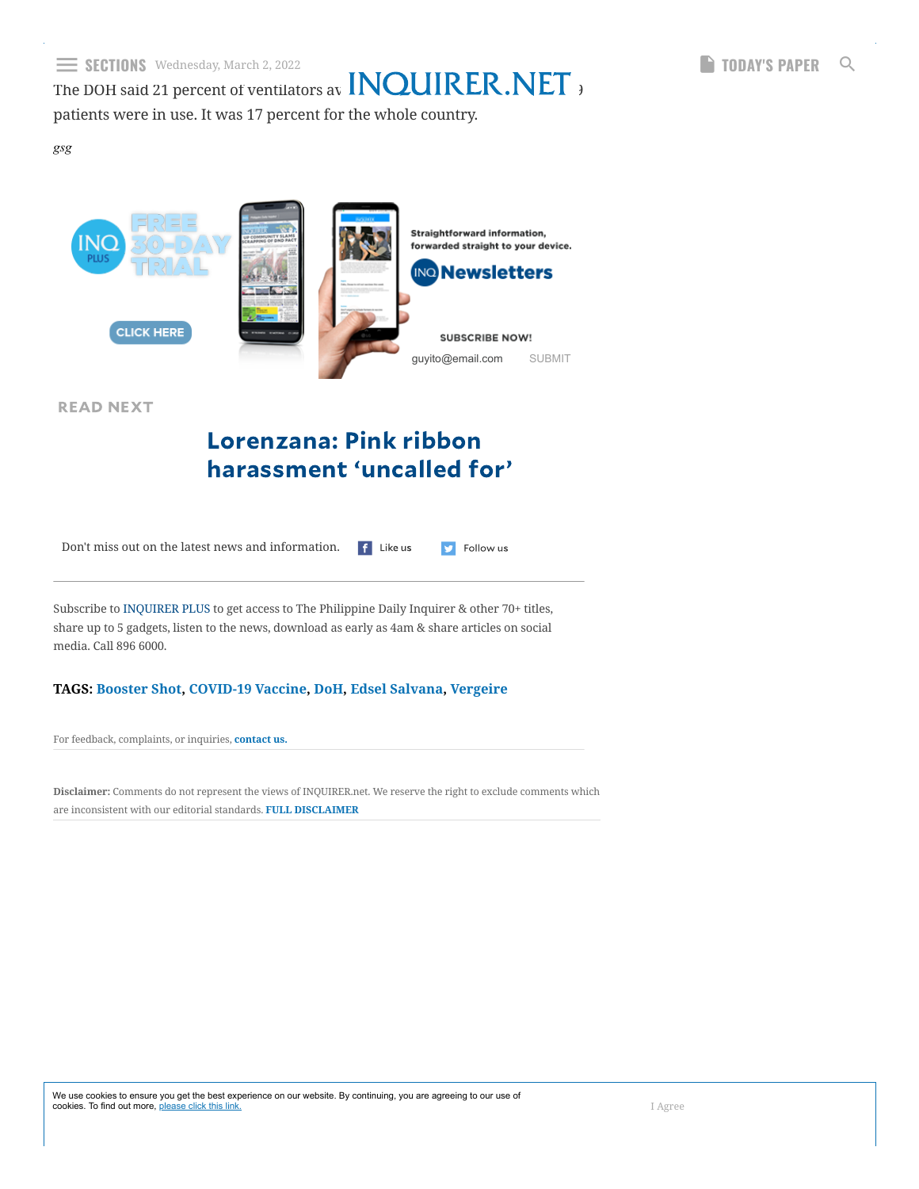The DOH said 21 percent of ventilators available  $\blacksquare$   $\blacksquare$   $\blacksquare$   $\blacksquare$   $\blacksquare$   $\blacksquare$   $\blacksquare$ 

**D** Follow us

patients were in use. It was 17 percent for the whole country.

*gsg*



READ NEXT

## Lorenzana: Pink ribbon [harassment](https://newsinfo.inquirer.net/1556787/lorenzana-pink-ribbon-harassment-uncalled-for) 'uncalled for'

Don't miss out on the latest news and information[.](https://www.facebook.com/inquirerdotnet) f Like us

Subscribe to [INQUIRER](https://www.inquirer.net/plus) PLUS to get access to The Philippine Daily Inquirer & other 70+ titles, share up to 5 gadgets, listen to the news, download as early as 4am & share articles on social media. Call 896 6000.

### **TAGS: [Booster Shot](https://newsinfo.inquirer.net/tag/booster-shot), [COVID-19 Vaccine](https://newsinfo.inquirer.net/tag/covid-19-vaccine), [DoH,](https://newsinfo.inquirer.net/tag/doh) [Edsel Salvana](https://newsinfo.inquirer.net/tag/edsel-salvana), [Vergeire](https://newsinfo.inquirer.net/tag/vergeire)**

For feedback, complaints, or inquiries, **[contact](https://services.inquirer.net/contactus/) us.**

**Disclaimer:** Comments do not represent the views of INQUIRER.net. We reserve the right to exclude comments which are inconsistent with our editorial standards. **FULL [DISCLAIMER](https://newsinfo.inquirer.net/1556777/disease-expert-not-recommending-2nd-booster-shot-for-now)**